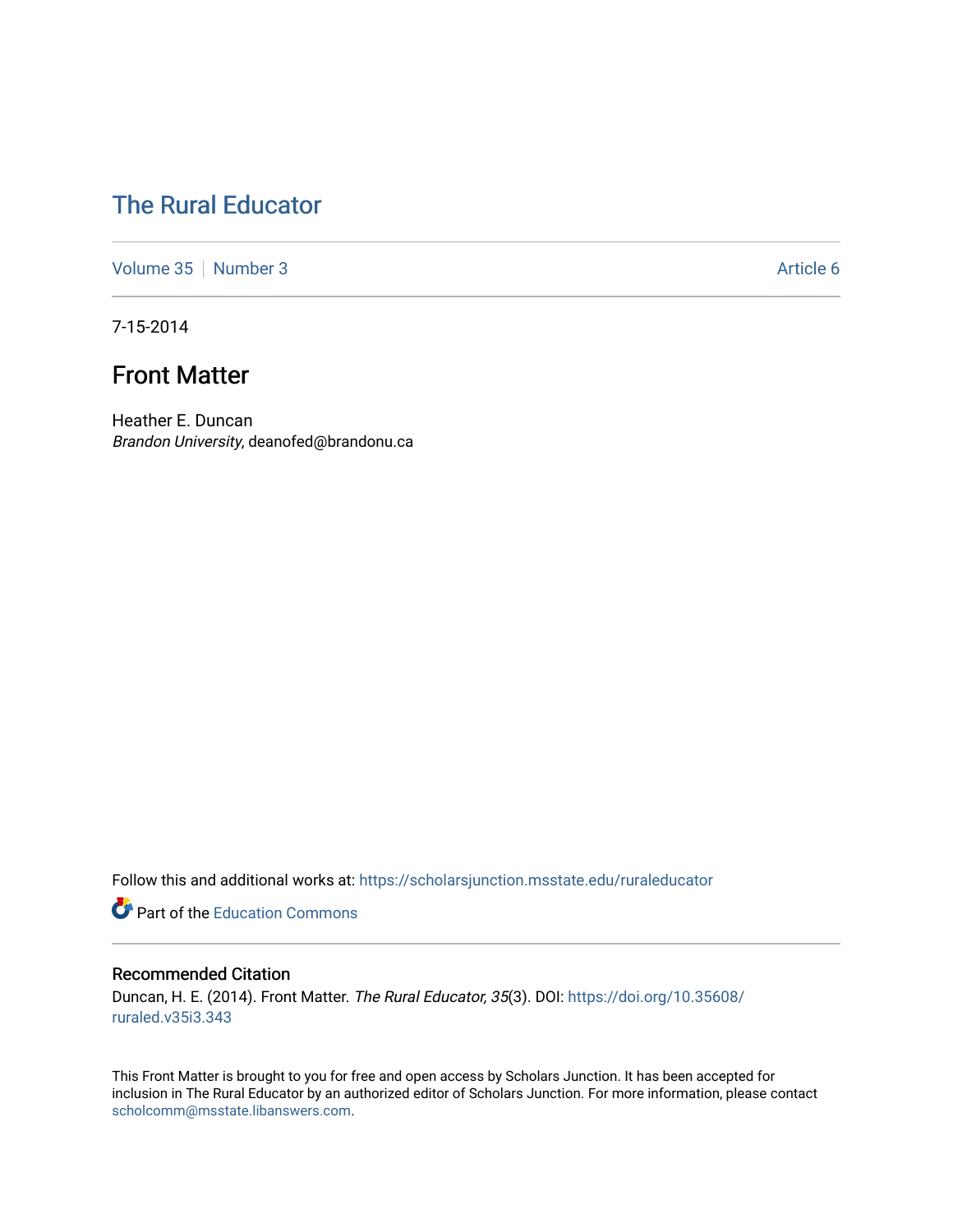# [The Rural Educator](https://scholarsjunction.msstate.edu/ruraleducator)

[Volume 35](https://scholarsjunction.msstate.edu/ruraleducator/vol35) [Number 3](https://scholarsjunction.msstate.edu/ruraleducator/vol35/iss3) Article 6

7-15-2014

# Front Matter

Heather E. Duncan Brandon University, deanofed@brandonu.ca

Follow this and additional works at: [https://scholarsjunction.msstate.edu/ruraleducator](https://scholarsjunction.msstate.edu/ruraleducator?utm_source=scholarsjunction.msstate.edu%2Fruraleducator%2Fvol35%2Fiss3%2F6&utm_medium=PDF&utm_campaign=PDFCoverPages)

**Part of the [Education Commons](http://network.bepress.com/hgg/discipline/784?utm_source=scholarsjunction.msstate.edu%2Fruraleducator%2Fvol35%2Fiss3%2F6&utm_medium=PDF&utm_campaign=PDFCoverPages)** 

#### Recommended Citation

Duncan, H. E. (2014). Front Matter. The Rural Educator, 35(3). DOI: [https://doi.org/10.35608/](https://doi.org/10.35608/ruraled.v35i3.343) [ruraled.v35i3.343](https://doi.org/10.35608/ruraled.v35i3.343)

This Front Matter is brought to you for free and open access by Scholars Junction. It has been accepted for inclusion in The Rural Educator by an authorized editor of Scholars Junction. For more information, please contact [scholcomm@msstate.libanswers.com.](mailto:scholcomm@msstate.libanswers.com)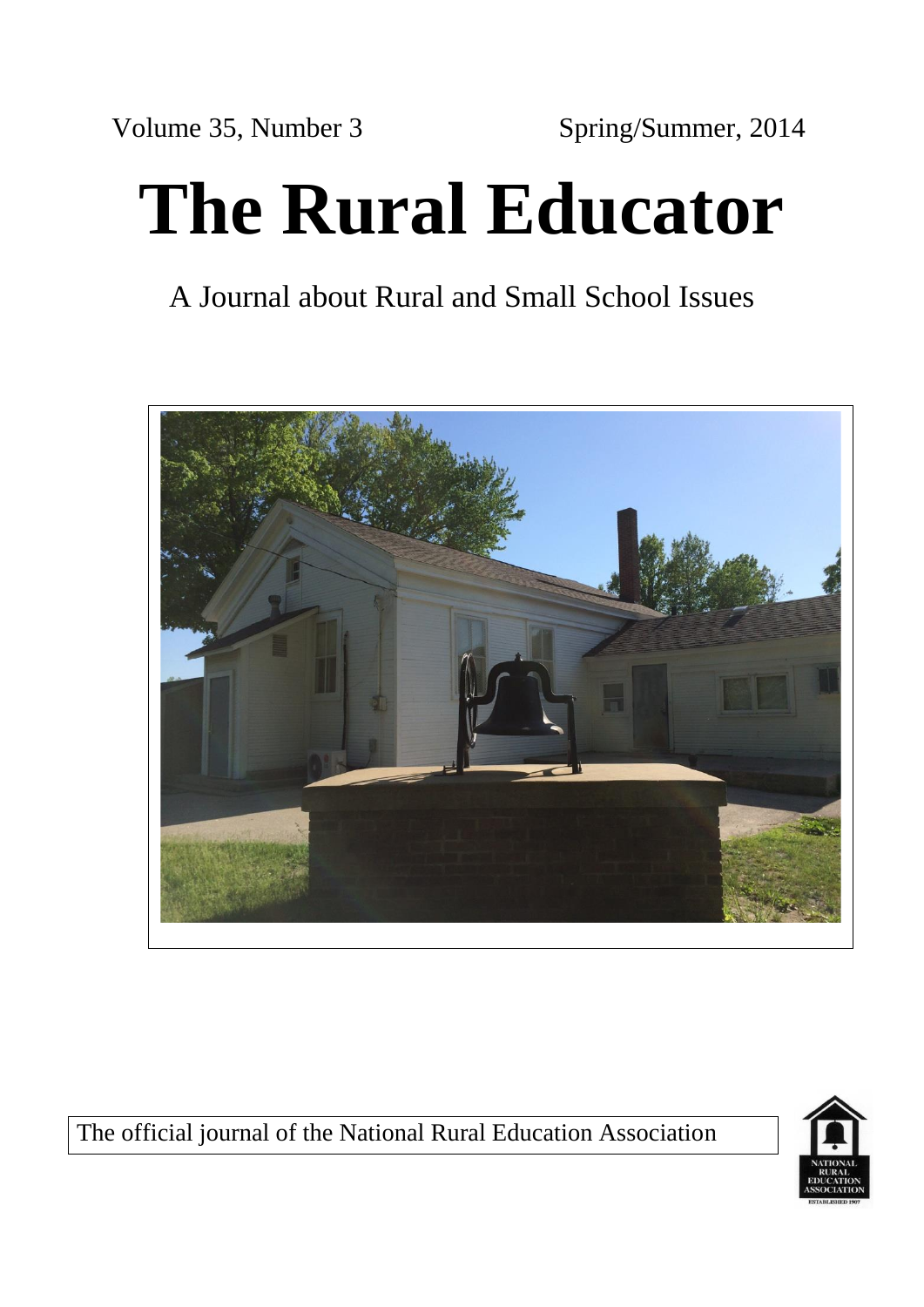Volume 35, Number 3 Spring/Summer, 2014

# **The Rural Educator**

# A Journal about Rural and Small School Issues



The official journal of the National Rural Education Association

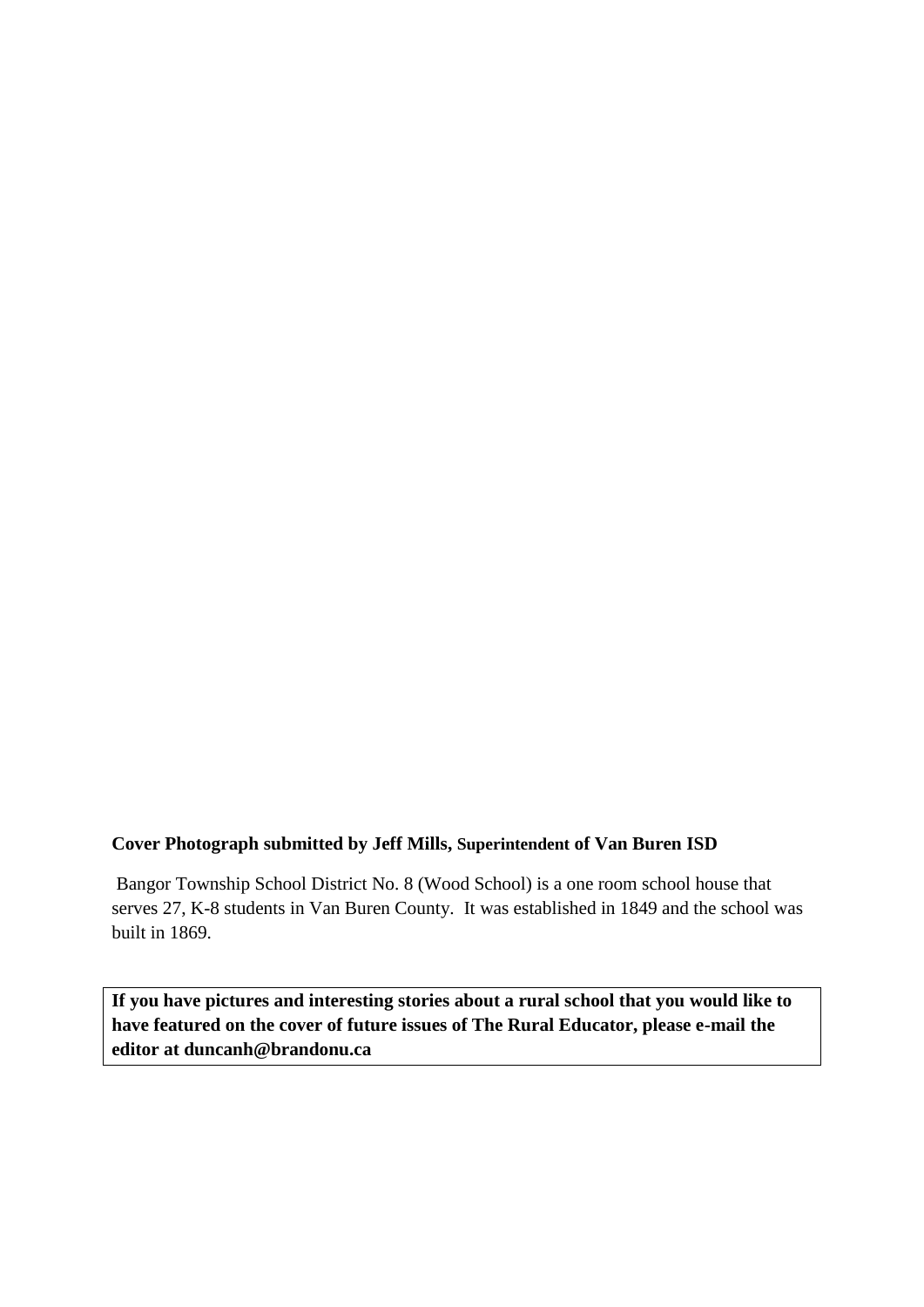### **Cover Photograph submitted by Jeff Mills, Superintendent of Van Buren ISD**

Bangor Township School District No. 8 (Wood School) is a one room school house that serves 27, K-8 students in Van Buren County. It was established in 1849 and the school was built in 1869.

**If you have pictures and interesting stories about a rural school that you would like to have featured on the cover of future issues of The Rural Educator, please e-mail the editor at duncanh@brandonu.ca**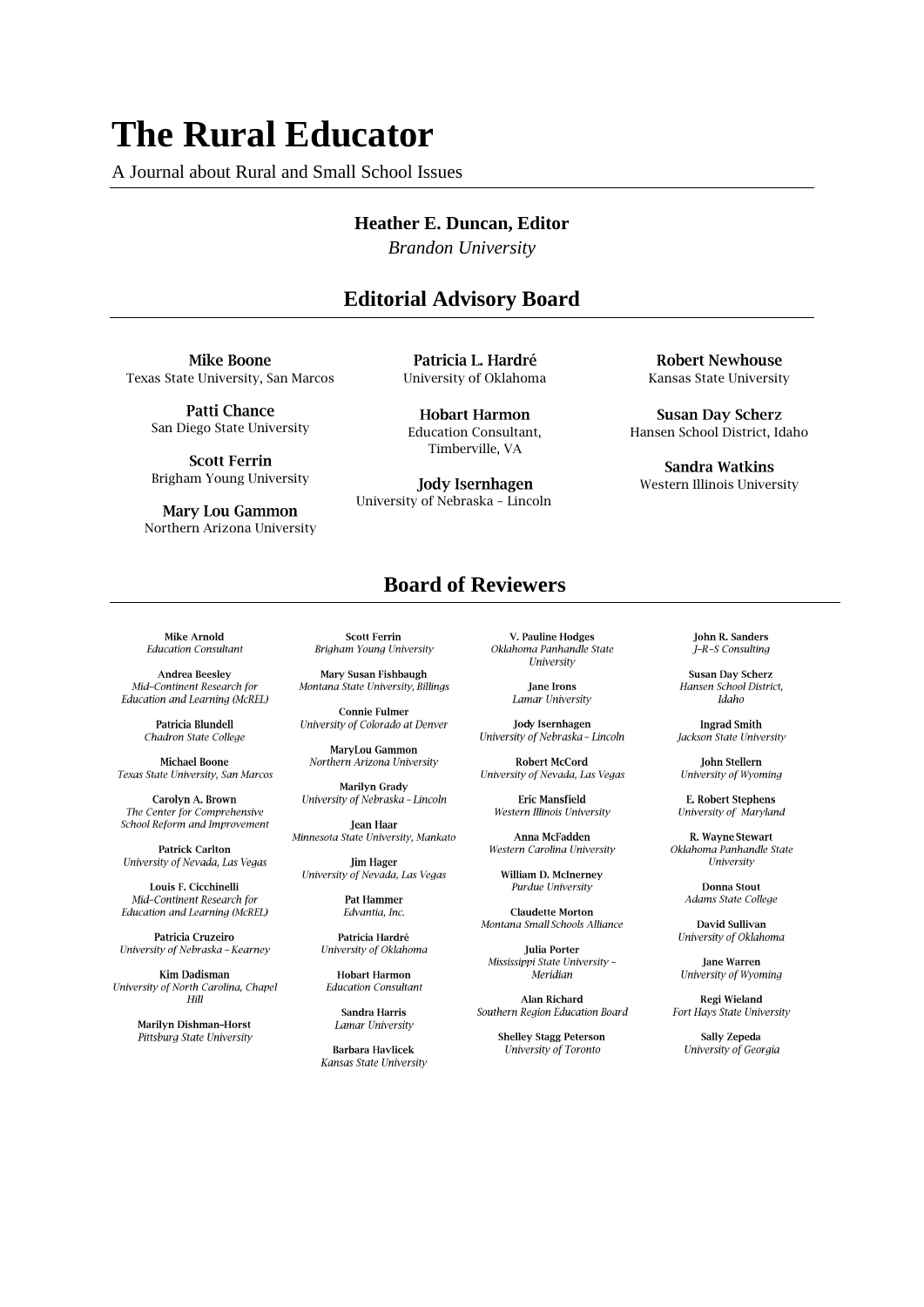# **The Rural Educator**

A Journal about Rural and Small School Issues

#### **Heather E. Duncan, Editor**

*Brandon University* 

## **Editorial Advisory Board**

**Mike Boone** Texas State University, San Marcos

> **Patti Chance** San Diego State University

> **Scott Ferrin** Brigham Young University

**Mary Lou Gammon** Northern Arizona University

Patricia L. Hardré University of Oklahoma

**Hobart Harmon** Education Consultant, Timberville, VA

**Jody Isernhagen** University of Nebraska – Lincoln

#### **Robert Newhouse** Kansas State University

**Susan Day Scherz** Hansen School District, Idaho

**Sandra Watkins** Western Illinois University

## **Board of Reviewers**

**Mike Arnold Education Consultant** 

**Andrea Beesley** Mid-Continent Research for Education and Learning (McREL)

> Patricia Blundell Chadron State College

**Michael Boone** Texas State University, San Marcos

Carolyn A. Brown The Center for Comprehensive School Reform and Improvement

**Patrick Carlton** University of Nevada, Las Vegas

Louis F. Cicchinelli Mid-Continent Research for Education and Learning (McREL)

Patricia Cruzeiro University of Nebraska - Kearney

**Kim Dadisman** University of North Carolina, Chapel<br>Hill

> **Marilyn Dishman-Horst** Pittsburg State University

**Scott Ferrin** Brigham Young University

Mary Susan Fishbaugh Montana State University, Billings

**Connie Fulmer** University of Colorado at Denver

MaryLou Gammon Northern Arizona University

**Marilyn Grady** University of Nebraska - Lincoln

Jean Haar Minnesota State University, Mankato

**Jim Hager** University of Nevada, Las Vegas

> **Pat Hammer** Edvantia, Inc.

Patricia Hardré University of Oklahoma

**Hobart Harmon Education Consultant** 

Sandra Harris Lamar University

**Barbara Havlicek** Kansas State University

V. Pauline Hodges Oklahoma Panhandle State University

> Jane Irons Lamar University

**Jody Isernhagen** University of Nebraska - Lincoln

**Robert McCord** University of Nevada, Las Vegas

Fric Mansfield Western Illinois University

Anna McFadden Western Carolina University

William D. McInerney Purdue University

**Claudette Morton** Montana Small Schools Alliance

**Julia Porter** Mississippi State University -Meridian

Alan Richard Southern Region Education Board

> **Shelley Stagg Peterson** University of Toronto

**John R. Sanders** J-R-S Consulting

**Susan Day Scherz** Hansen School District, Idaho

**Ingrad Smith** Jackson State University

**John Stellern** University of Wyoming

**E. Robert Stephens** University of Maryland

R. Wayne Stewart Oklahoma Panhandle State University

> **Donna Stout** Adams State College

David Sullivan University of Oklahoma

**Jane Warren** University of Wyoming

Regi Wieland Fort Hays State University

Sally Zepeda University of Georgia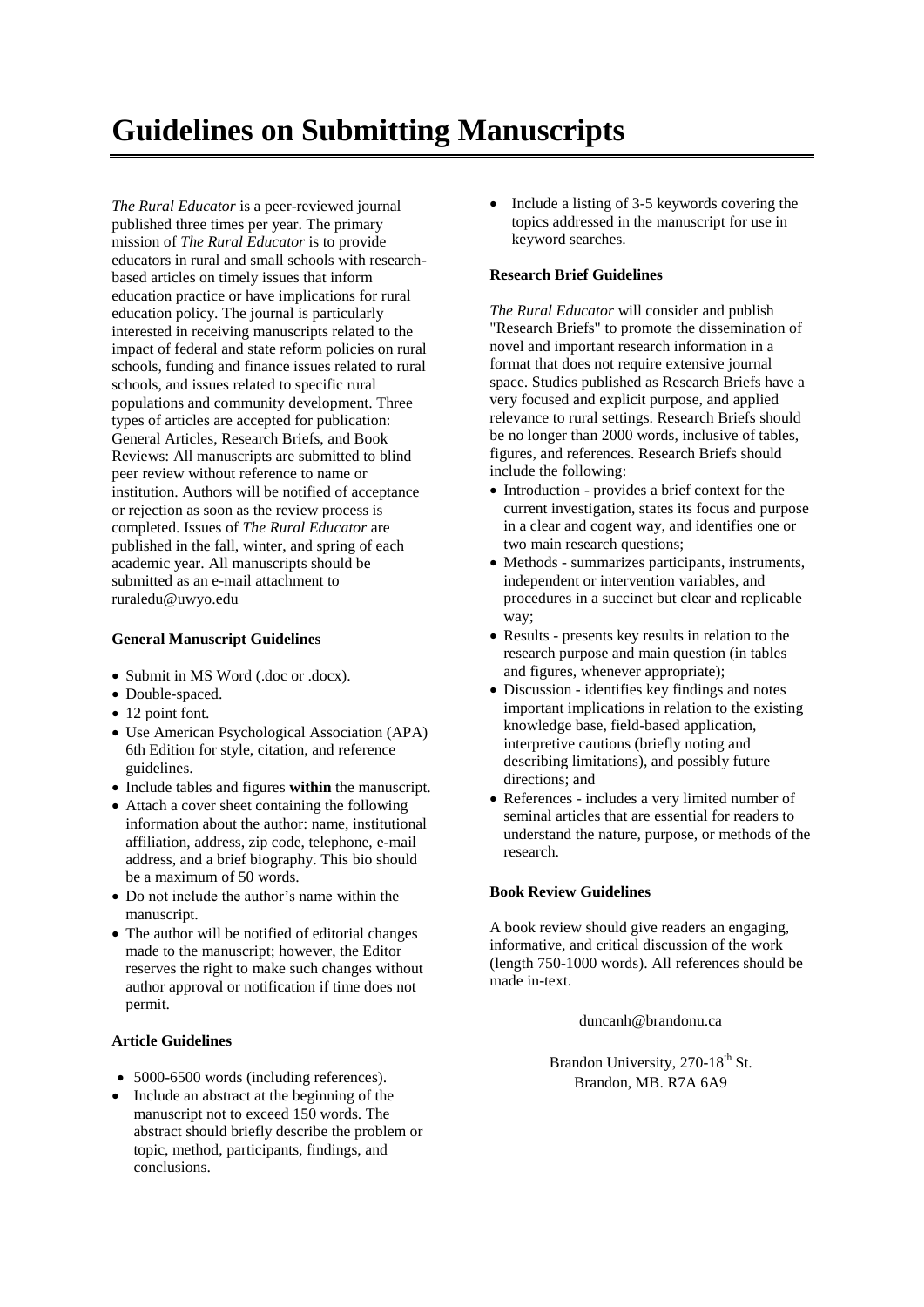# **Guidelines on Submitting Manuscripts**

*The Rural Educator* is a peer-reviewed journal published three times per year. The primary mission of *The Rural Educator* is to provide educators in rural and small schools with researchbased articles on timely issues that inform education practice or have implications for rural education policy. The journal is particularly interested in receiving manuscripts related to the impact of federal and state reform policies on rural schools, funding and finance issues related to rural schools, and issues related to specific rural populations and community development. Three types of articles are accepted for publication: General Articles, Research Briefs, and Book Reviews: All manuscripts are submitted to blind peer review without reference to name or institution. Authors will be notified of acceptance or rejection as soon as the review process is completed. Issues of *The Rural Educator* are published in the fall, winter, and spring of each academic year. All manuscripts should be submitted as an e-mail attachment to [ruraledu@uwyo.edu](mailto:ruraledu@uwyo.edu)

#### **General Manuscript Guidelines**

- Submit in MS Word (.doc or .docx).
- Double-spaced.
- 12 point font.
- Use American Psychological Association (APA) 6th Edition for style, citation, and reference guidelines.
- Include tables and figures **within** the manuscript.
- Attach a cover sheet containing the following information about the author: name, institutional affiliation, address, zip code, telephone, e-mail address, and a brief biography. This bio should be a maximum of 50 words.
- Do not include the author's name within the manuscript.
- The author will be notified of editorial changes made to the manuscript; however, the Editor reserves the right to make such changes without author approval or notification if time does not permit.

#### **Article Guidelines**

- 5000-6500 words (including references).
- Include an abstract at the beginning of the manuscript not to exceed 150 words. The abstract should briefly describe the problem or topic, method, participants, findings, and conclusions.

• Include a listing of 3-5 keywords covering the topics addressed in the manuscript for use in keyword searches.

#### **Research Brief Guidelines**

*The Rural Educator* will consider and publish "Research Briefs" to promote the dissemination of novel and important research information in a format that does not require extensive journal space. Studies published as Research Briefs have a very focused and explicit purpose, and applied relevance to rural settings. Research Briefs should be no longer than 2000 words, inclusive of tables, figures, and references. Research Briefs should include the following:

- Introduction provides a brief context for the current investigation, states its focus and purpose in a clear and cogent way, and identifies one or two main research questions;
- Methods summarizes participants, instruments, independent or intervention variables, and procedures in a succinct but clear and replicable way;
- Results presents key results in relation to the research purpose and main question (in tables and figures, whenever appropriate);
- Discussion identifies key findings and notes important implications in relation to the existing knowledge base, field-based application, interpretive cautions (briefly noting and describing limitations), and possibly future directions; and
- References includes a very limited number of seminal articles that are essential for readers to understand the nature, purpose, or methods of the research.

#### **Book Review Guidelines**

A book review should give readers an engaging, informative, and critical discussion of the work (length 750-1000 words). All references should be made in-text.

duncanh@brandonu.ca

Brandon University, 270-18<sup>th</sup> St. Brandon, MB. R7A 6A9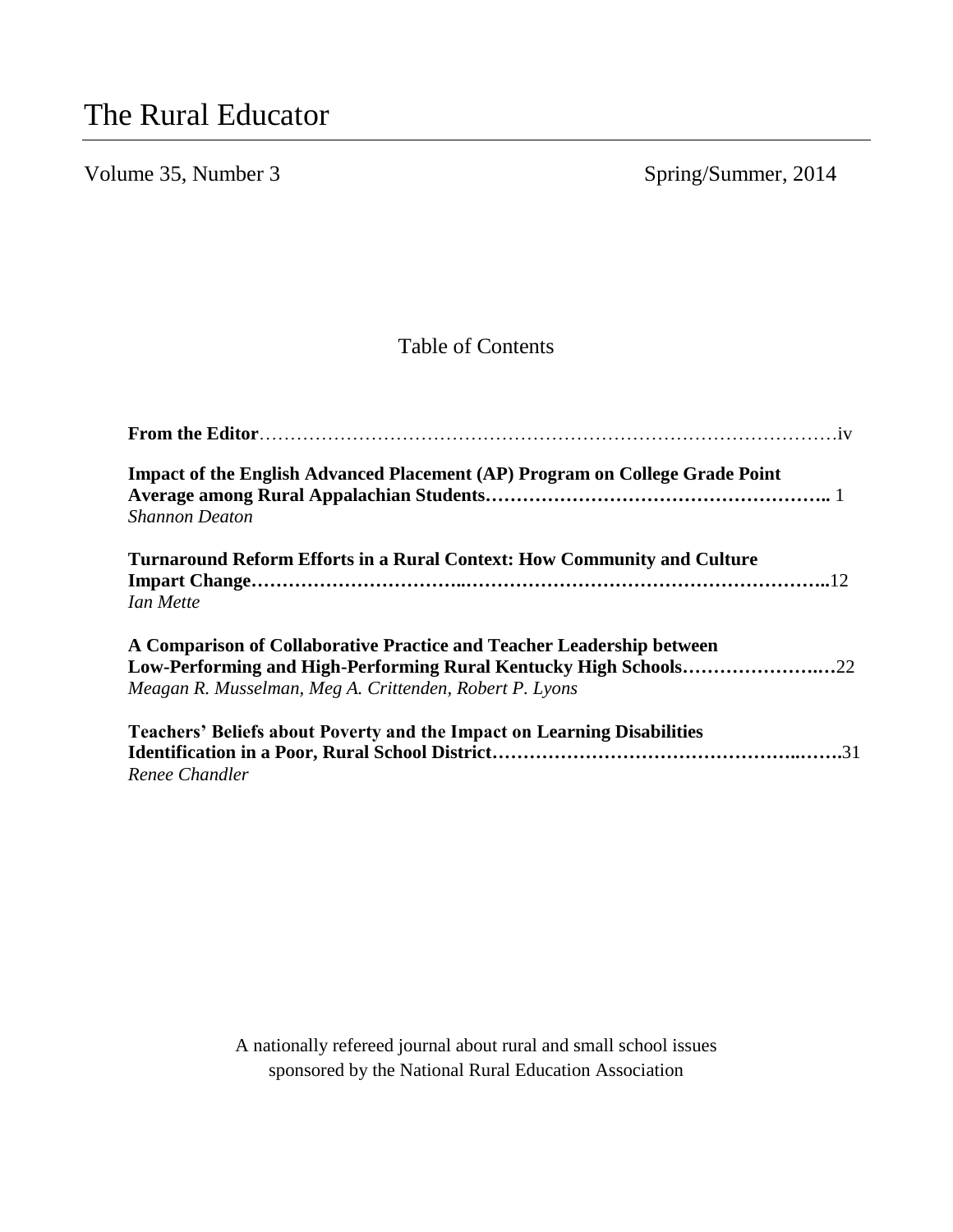# Volume 35, Number 3 Spring/Summer, 2014

# Table of Contents

| Impact of the English Advanced Placement (AP) Program on College Grade Point<br><b>Shannon Deaton</b>                                                                                                |
|------------------------------------------------------------------------------------------------------------------------------------------------------------------------------------------------------|
| <b>Turnaround Reform Efforts in a Rural Context: How Community and Culture</b><br>Ian Mette                                                                                                          |
| A Comparison of Collaborative Practice and Teacher Leadership between<br>Low-Performing and High-Performing Rural Kentucky High Schools22<br>Meagan R. Musselman, Meg A. Crittenden, Robert P. Lyons |
| <b>Teachers' Beliefs about Poverty and the Impact on Learning Disabilities</b><br>Renee Chandler                                                                                                     |

A nationally refereed journal about rural and small school issues sponsored by the National Rural Education Association